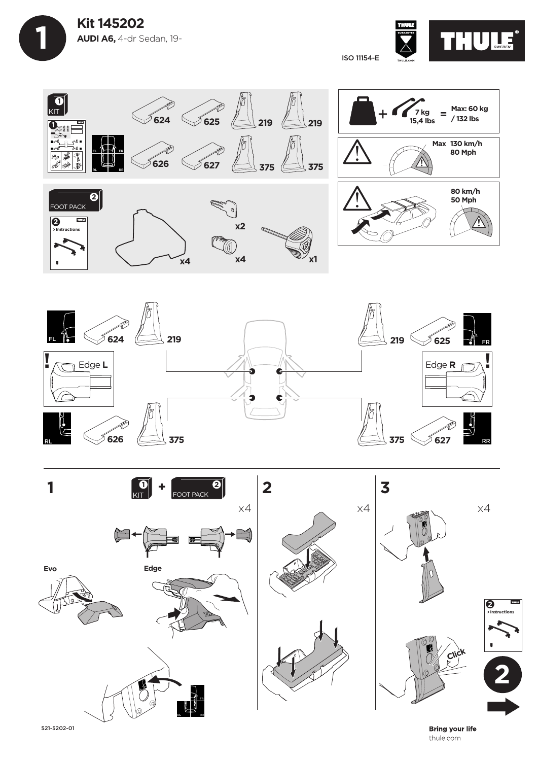



ISO 11154-E







521-5202-01

**Bring your life** thule.com